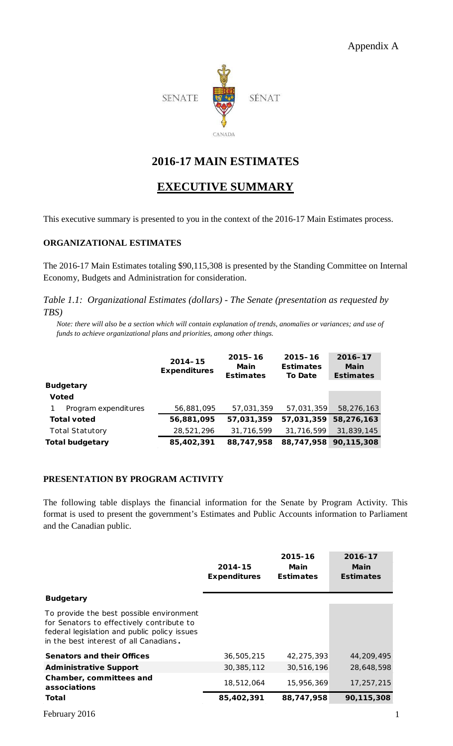

# **2016-17 MAIN ESTIMATES**

# **EXECUTIVE SUMMARY**

This executive summary is presented to you in the context of the 2016-17 Main Estimates process.

#### **ORGANIZATIONAL ESTIMATES**

The 2016-17 Main Estimates totaling \$90,115,308 is presented by the Standing Committee on Internal Economy, Budgets and Administration for consideration.

*Table 1.1: Organizational Estimates (dollars) - The Senate (presentation as requested by TBS)*

*Note: there will also be a section which will contain explanation of trends, anomalies or variances; and use of funds to achieve organizational plans and priorities, among other things.* 

|                        | $2014 - 15$<br><b>Expenditures</b> | $2015 - 16$<br>Main<br><b>Estimates</b> | $2015 - 16$<br><b>Estimates</b><br><b>To Date</b> | 2016-17<br>Main<br><b>Estimates</b> |
|------------------------|------------------------------------|-----------------------------------------|---------------------------------------------------|-------------------------------------|
| <b>Budgetary</b>       |                                    |                                         |                                                   |                                     |
| <b>Voted</b>           |                                    |                                         |                                                   |                                     |
| Program expenditures   | 56,881,095                         | 57,031,359                              | 57,031,359                                        | 58,276,163                          |
| <b>Total voted</b>     | 56,881,095                         | 57,031,359                              | 57,031,359                                        | 58,276,163                          |
| <b>Total Statutory</b> | 28,521,296                         | 31,716,599                              | 31,716,599                                        | 31,839,145                          |
| <b>Total budgetary</b> | 85,402,391                         | 88,747,958                              | 88,747,958                                        | 90,115,308                          |

### **PRESENTATION BY PROGRAM ACTIVITY**

The following table displays the financial information for the Senate by Program Activity. This format is used to present the government's Estimates and Public Accounts information to Parliament and the Canadian public.

|                                                                                                                                                                                 | 2014-15<br><b>Expenditures</b> | 2015-16<br>Main<br><b>Estimates</b> | 2016-17<br>Main<br><b>Estimates</b> |
|---------------------------------------------------------------------------------------------------------------------------------------------------------------------------------|--------------------------------|-------------------------------------|-------------------------------------|
| <b>Budgetary</b>                                                                                                                                                                |                                |                                     |                                     |
| To provide the best possible environment<br>for Senators to effectively contribute to<br>federal legislation and public policy issues<br>in the best interest of all Canadians. |                                |                                     |                                     |
| <b>Senators and their Offices</b>                                                                                                                                               | 36,505,215                     | 42.275.393                          | 44,209,495                          |
| <b>Administrative Support</b>                                                                                                                                                   | 30,385,112                     | 30,516,196                          | 28,648,598                          |
| Chamber, committees and<br>associations                                                                                                                                         | 18,512,064                     | 15,956,369                          | 17,257,215                          |
| Total                                                                                                                                                                           | 85,402,391                     | 88,747,958                          | 90,115,308                          |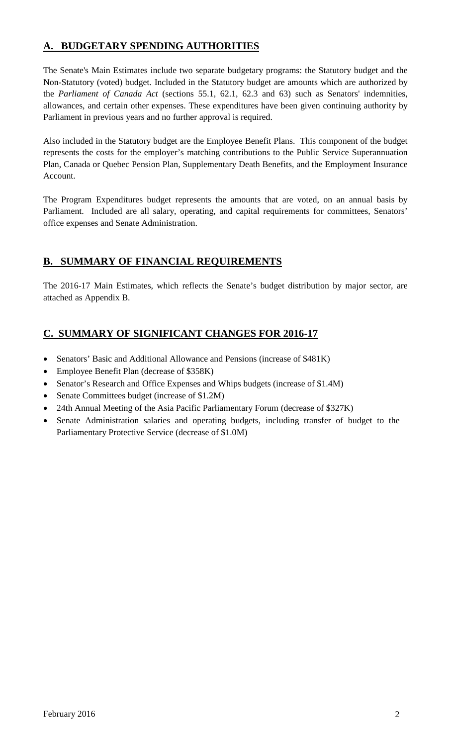## **A. BUDGETARY SPENDING AUTHORITIES**

The Senate's Main Estimates include two separate budgetary programs: the Statutory budget and the Non-Statutory (voted) budget. Included in the Statutory budget are amounts which are authorized by the *Parliament of Canada Act* (sections 55.1, 62.1, 62.3 and 63) such as Senators' indemnities, allowances, and certain other expenses. These expenditures have been given continuing authority by Parliament in previous years and no further approval is required.

Also included in the Statutory budget are the Employee Benefit Plans. This component of the budget represents the costs for the employer's matching contributions to the Public Service Superannuation Plan, Canada or Quebec Pension Plan, Supplementary Death Benefits, and the Employment Insurance Account.

The Program Expenditures budget represents the amounts that are voted, on an annual basis by Parliament. Included are all salary, operating, and capital requirements for committees, Senators' office expenses and Senate Administration.

## **B. SUMMARY OF FINANCIAL REQUIREMENTS**

The 2016-17 Main Estimates, which reflects the Senate's budget distribution by major sector, are attached as Appendix B.

### **C. SUMMARY OF SIGNIFICANT CHANGES FOR 2016-17**

- Senators' Basic and Additional Allowance and Pensions (increase of \$481K)
- Employee Benefit Plan (decrease of \$358K)
- Senator's Research and Office Expenses and Whips budgets (increase of \$1.4M)
- Senate Committees budget (increase of \$1.2M)
- 24th Annual Meeting of the Asia Pacific Parliamentary Forum (decrease of \$327K)
- Senate Administration salaries and operating budgets, including transfer of budget to the Parliamentary Protective Service (decrease of \$1.0M)